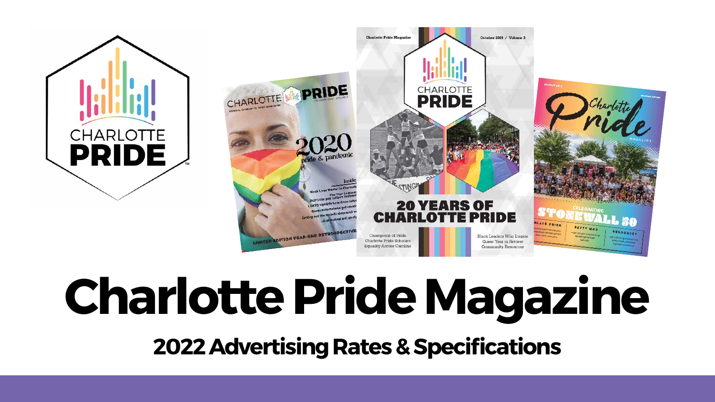

# **Charlotte Pride Magazine 2022 Advertising Rates & Specifications**

CHARLOTTE

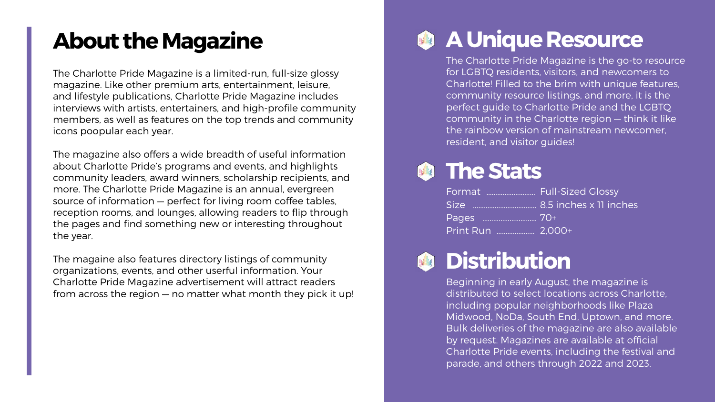## **A Unique Resource**

The Charlotte Pride Magazine is the go-to resource for LGBTQ residents, visitors, and newcomers to Charlotte! Filled to the brim with unique features, community resource listings, and more, it is the perfect guide to Charlotte Pride and the LGBTQ community in the Charlotte region — think it like the rainbow version of mainstream newcomer, resident, and visitor guides!



## **The Stats**

| Format  Full-Sized Glossy |  |
|---------------------------|--|
|                           |  |
|                           |  |
| Print Run  2.000+         |  |



## **Distribution**

Beginning in early August, the magazine is distributed to select locations across Charlotte, including popular neighborhoods like Plaza Midwood, NoDa, South End, Uptown, and more. Bulk deliveries of the magazine are also available by request. Magazines are available at official Charlotte Pride events, including the festival and parade, and others through 2022 and 2023.

## **About the Magazine**

The Charlotte Pride Magazine is a limited-run, full-size glossy magazine. Like other premium arts, entertainment, leisure, and lifestyle publications, Charlotte Pride Magazine includes interviews with artists, entertainers, and high-profile community members, as well as features on the top trends and community icons poopular each year.

The magazine also offers a wide breadth of useful information about Charlotte Pride's programs and events, and highlights community leaders, award winners, scholarship recipients, and more. The Charlotte Pride Magazine is an annual, evergreen source of information — perfect for living room coffee tables, reception rooms, and lounges, allowing readers to flip through the pages and find something new or interesting throughout the year.

The magaine also features directory listings of community organizations, events, and other userful information. Your Charlotte Pride Magazine advertisement will attract readers from across the region — no matter what month they pick it up!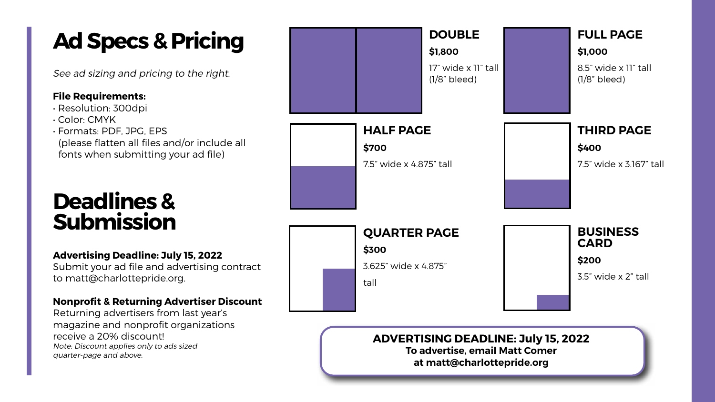#### **ADVERTISING DEADLINE: July 15, 2022 To advertise, email Matt Comer**

**at matt@charlottepride.org**

## **Ad Specs & Pricing**

See ad sizing and pricing to the right.

#### **File Requirements:**

- Resolution: 300dpi
- Color: CMYK
- Formats: PDF, JPG, EPS (please flatten all files and/or include all fonts when submitting your ad file)

### **DOUBLE**

**\$1,800**

17" wide x 11" tall (1/8" bleed)



8.5" wide x 11" tall (1/8" bleed)

### **HALF PAGE**

**\$700**

7.5" wide x 4.875" tall



#### **THIRD PAGE \$400**

7.5" wide x 3.167" tall

### **QUARTER PAGE**

**\$300**

3.625" wide x 4.875"

tall



#### **BUSINESS CARD**

**\$200**

3.5" wide x 2" tall

## **Deadlines & Submission**

#### **Advertising Deadline: July 15, 2022**

Submit your ad file and advertising contract to matt@charlottepride.org.

#### **Nonprofit & Returning Advertiser Discount**

Returning advertisers from last year's magazine and nonprofit organizations receive a 20% discount! Note: Discount applies only to ads sized quarter-page and above.

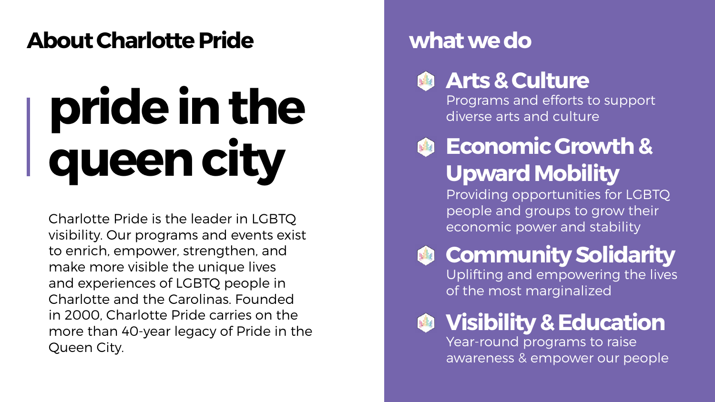## **About Charlotte Pride**

# **pride in the queen city**

## **Arts & Culture**

Charlotte Pride is the leader in LGBTQ visibility. Our programs and events exist to enrich, empower, strengthen, and make more visible the unique lives and experiences of LGBTQ people in Charlotte and the Carolinas. Founded in 2000, Charlotte Pride carries on the more than 40-year legacy of Pride in the Queen City.

Programs and efforts to support diverse arts and culture



## **what we do**

## **Economic Growth & Upward Mobility**

Providing opportunities for LGBTQ people and groups to grow their economic power and stability



## **Community Solidarity**

Uplifting and empowering the lives of the most marginalized



**Visibility & Education**

Year-round programs to raise awareness & empower our people

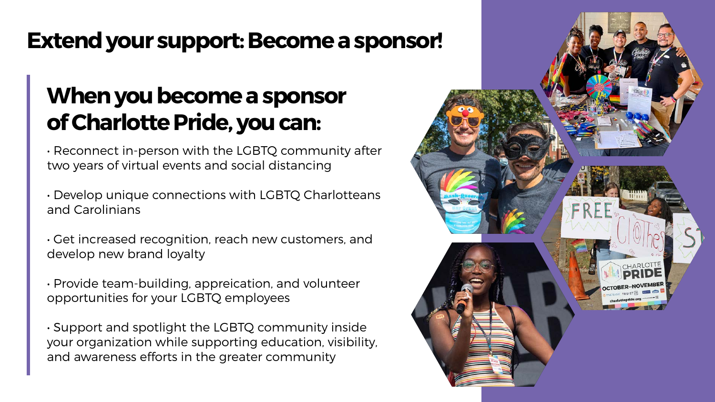## **Extend your support: Become a sponsor!**

## **When you become a sponsor of Charlotte Pride, you can:**

• Reconnect in-person with the LGBTQ community after two years of virtual events and social distancing

• Develop unique connections with LGBTQ Charlotteans and Carolinians

• Get increased recognition, reach new customers, and develop new brand loyalty

• Provide team-building, appreication, and volunteer opportunities for your LGBTQ employees

• Support and spotlight the LGBTQ community inside your organization while supporting education, visibility, and awareness efforts in the greater community

- 
- 
- 
- 
- 
-